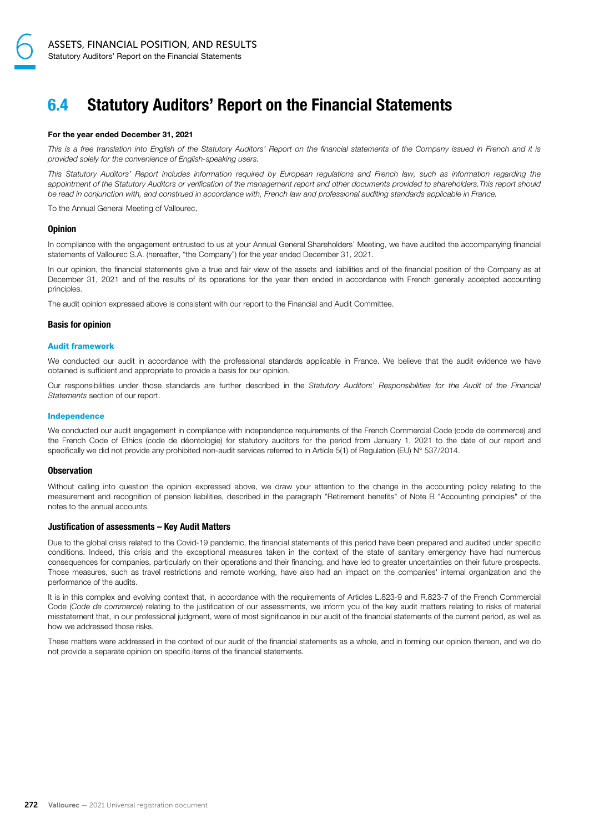# 6.4 Statutory Auditors' Report on the Financial Statements

#### For the year ended December 31, 2021

This is a free translation into English of the Statutory Auditors' Report on the financial statements of the Company issued in French and it is provided solely for the convenience of English-speaking users.

This Statutory Auditors' Report includes information required by European regulations and French law, such as information regarding the appointment of the Statutory Auditors or verification of the management report and other documents provided to shareholders.This report should be read in conjunction with, and construed in accordance with, French law and professional auditing standards applicable in France.

To the Annual General Meeting of Vallourec,

#### **Opinion**

In compliance with the engagement entrusted to us at your Annual General Shareholders' Meeting, we have audited the accompanying financial statements of Vallourec S.A. (hereafter, "the Company") for the year ended December 31, 2021.

In our opinion, the financial statements give a true and fair view of the assets and liabilities and of the financial position of the Company as at December 31, 2021 and of the results of its operations for the year then ended in accordance with French generally accepted accounting principles.

The audit opinion expressed above is consistent with our report to the Financial and Audit Committee.

#### Basis for opinion

#### Audit framework

We conducted our audit in accordance with the professional standards applicable in France. We believe that the audit evidence we have obtained is sufficient and appropriate to provide a basis for our opinion.

Our responsibilities under those standards are further described in the Statutory Auditors' Responsibilities for the Audit of the Financial Statements section of our report.

#### Independence

We conducted our audit engagement in compliance with independence requirements of the French Commercial Code (code de commerce) and the French Code of Ethics (code de déontologie) for statutory auditors for the period from January 1, 2021 to the date of our report and specifically we did not provide any prohibited non-audit services referred to in Article 5(1) of Regulation (EU) N° 537/2014.

## **Observation**

Without calling into question the opinion expressed above, we draw your attention to the change in the accounting policy relating to the measurement and recognition of pension liabilities, described in the paragraph "Retirement benefits" of Note B "Accounting principles" of the notes to the annual accounts.

#### Justification of assessments – Key Audit Matters

Due to the global crisis related to the Covid-19 pandemic, the financial statements of this period have been prepared and audited under specific conditions. Indeed, this crisis and the exceptional measures taken in the context of the state of sanitary emergency have had numerous consequences for companies, particularly on their operations and their financing, and have led to greater uncertainties on their future prospects. Those measures, such as travel restrictions and remote working, have also had an impact on the companies' internal organization and the performance of the audits.

It is in this complex and evolving context that, in accordance with the requirements of Articles L.823-9 and R.823-7 of the French Commercial Code (Code de commerce) relating to the justification of our assessments, we inform you of the key audit matters relating to risks of material misstatement that, in our professional judgment, were of most significance in our audit of the financial statements of the current period, as well as how we addressed those risks.

These matters were addressed in the context of our audit of the financial statements as a whole, and in forming our opinion thereon, and we do not provide a separate opinion on specific items of the financial statements.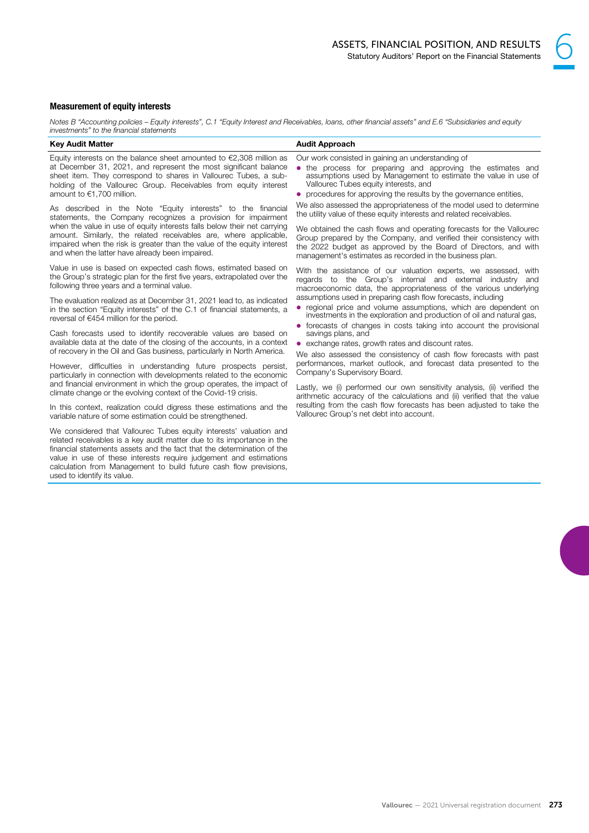# Measurement of equity interests

Notes B "Accounting policies – Equity interests", C.1 "Equity Interest and Receivables, loans, other financial assets" and E.6 "Subsidiaries and equity investments" to the financial statements

| <b>Key Audit Matter</b>                                                                                                                                                                                                                                                                                                                                                  | <b>Audit Approach</b>                                                                                                                                                                                                                      |
|--------------------------------------------------------------------------------------------------------------------------------------------------------------------------------------------------------------------------------------------------------------------------------------------------------------------------------------------------------------------------|--------------------------------------------------------------------------------------------------------------------------------------------------------------------------------------------------------------------------------------------|
| Equity interests on the balance sheet amounted to $\epsilon$ 2,308 million as Our work consisted in gaining an understanding of<br>at December 31, 2021, and represent the most significant balance<br>sheet item. They correspond to shares in Vallourec Tubes, a sub-<br>holding of the Vallourec Group. Receivables from equity interest<br>amount to €1,700 million. | the process for preparing and approving the estimates and<br>assumptions used by Management to estimate the value in use of<br>Vallourec Tubes equity interests, and<br>• procedures for approving the results by the governance entities, |

As described in the Note "Equity interests" to the financial statements, the Company recognizes a provision for impairment when the value in use of equity interests falls below their net carrying amount. Similarly, the related receivables are, where applicable, impaired when the risk is greater than the value of the equity interest and when the latter have already been impaired.

Value in use is based on expected cash flows, estimated based on the Group's strategic plan for the first five years, extrapolated over the following three years and a terminal value.

The evaluation realized as at December 31, 2021 lead to, as indicated in the section "Equity interests" of the C.1 of financial statements, a reversal of €454 million for the period.

Cash forecasts used to identify recoverable values are based on available data at the date of the closing of the accounts, in a context of recovery in the Oil and Gas business, particularly in North America.

However, difficulties in understanding future prospects persist, particularly in connection with developments related to the economic and financial environment in which the group operates, the impact of climate change or the evolving context of the Covid-19 crisis.

In this context, realization could digress these estimations and the variable nature of some estimation could be strengthened.

We considered that Vallourec Tubes equity interests' valuation and related receivables is a key audit matter due to its importance in the financial statements assets and the fact that the determination of the value in use of these interests require judgement and estimations calculation from Management to build future cash flow previsions, used to identify its value.

oving the results by the govern

We also assessed the appropriateness of the model used to determine the utility value of these equity interests and related receivables.

We obtained the cash flows and operating forecasts for the Vallourec Group prepared by the Company, and verified their consistency with the 2022 budget as approved by the Board of Directors, and with management's estimates as recorded in the business plan.

With the assistance of our valuation experts, we assessed, with regards to the Group's internal and external industry and macroeconomic data, the appropriateness of the various underlying assumptions used in preparing cash flow forecasts, including

- regional price and volume assumptions, which are dependent on
- investments in the exploration and production of oil and natural gas, ● forecasts of changes in costs taking into account the provisional savings plans, and
- exchange rates, growth rates and discount rates.

We also assessed the consistency of cash flow forecasts with past performances, market outlook, and forecast data presented to the Company's Supervisory Board.

Lastly, we (i) performed our own sensitivity analysis, (ii) verified the arithmetic accuracy of the calculations and (ii) verified that the value resulting from the cash flow forecasts has been adjusted to take the Vallourec Group's net debt into account.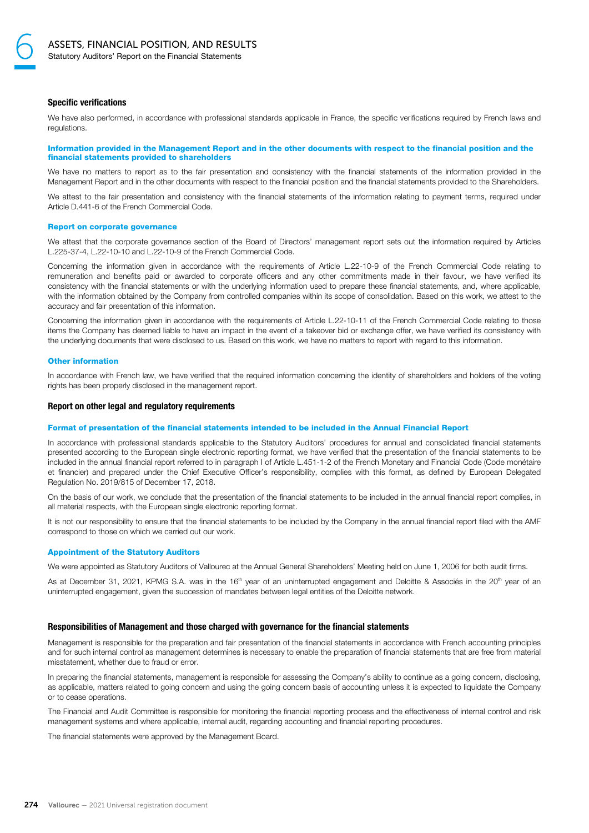## Specific verifications

We have also performed, in accordance with professional standards applicable in France, the specific verifications required by French laws and regulations.

#### Information provided in the Management Report and in the other documents with respect to the financial position and the financial statements provided to shareholders

We have no matters to report as to the fair presentation and consistency with the financial statements of the information provided in the Management Report and in the other documents with respect to the financial position and the financial statements provided to the Shareholders.

We attest to the fair presentation and consistency with the financial statements of the information relating to payment terms, required under Article D.441-6 of the French Commercial Code.

#### Report on corporate governance

We attest that the corporate governance section of the Board of Directors' management report sets out the information required by Articles L.225-37-4, L.22-10-10 and L.22-10-9 of the French Commercial Code.

Concerning the information given in accordance with the requirements of Article L.22-10-9 of the French Commercial Code relating to remuneration and benefits paid or awarded to corporate officers and any other commitments made in their favour, we have verified its consistency with the financial statements or with the underlying information used to prepare these financial statements, and, where applicable, with the information obtained by the Company from controlled companies within its scope of consolidation. Based on this work, we attest to the accuracy and fair presentation of this information.

Concerning the information given in accordance with the requirements of Article L.22-10-11 of the French Commercial Code relating to those items the Company has deemed liable to have an impact in the event of a takeover bid or exchange offer, we have verified its consistency with the underlying documents that were disclosed to us. Based on this work, we have no matters to report with regard to this information.

#### Other information

In accordance with French law, we have verified that the required information concerning the identity of shareholders and holders of the voting rights has been properly disclosed in the management report.

## Report on other legal and regulatory requirements

#### Format of presentation of the financial statements intended to be included in the Annual Financial Report

In accordance with professional standards applicable to the Statutory Auditors' procedures for annual and consolidated financial statements presented according to the European single electronic reporting format, we have verified that the presentation of the financial statements to be included in the annual financial report referred to in paragraph I of Article L.451-1-2 of the French Monetary and Financial Code (Code monétaire et financier) and prepared under the Chief Executive Officer's responsibility, complies with this format, as defined by European Delegated Regulation No. 2019/815 of December 17, 2018.

On the basis of our work, we conclude that the presentation of the financial statements to be included in the annual financial report complies, in all material respects, with the European single electronic reporting format.

It is not our responsibility to ensure that the financial statements to be included by the Company in the annual financial report filed with the AMF correspond to those on which we carried out our work.

#### Appointment of the Statutory Auditors

We were appointed as Statutory Auditors of Vallourec at the Annual General Shareholders' Meeting held on June 1, 2006 for both audit firms.

As at December 31, 2021, KPMG S.A. was in the 16<sup>th</sup> year of an uninterrupted engagement and Deloitte & Associés in the 20<sup>th</sup> year of an uninterrupted engagement, given the succession of mandates between legal entities of the Deloitte network.

#### Responsibilities of Management and those charged with governance for the financial statements

Management is responsible for the preparation and fair presentation of the financial statements in accordance with French accounting principles and for such internal control as management determines is necessary to enable the preparation of financial statements that are free from material misstatement, whether due to fraud or error.

In preparing the financial statements, management is responsible for assessing the Company's ability to continue as a going concern, disclosing, as applicable, matters related to going concern and using the going concern basis of accounting unless it is expected to liquidate the Company or to cease operations.

The Financial and Audit Committee is responsible for monitoring the financial reporting process and the effectiveness of internal control and risk management systems and where applicable, internal audit, regarding accounting and financial reporting procedures.

The financial statements were approved by the Management Board.